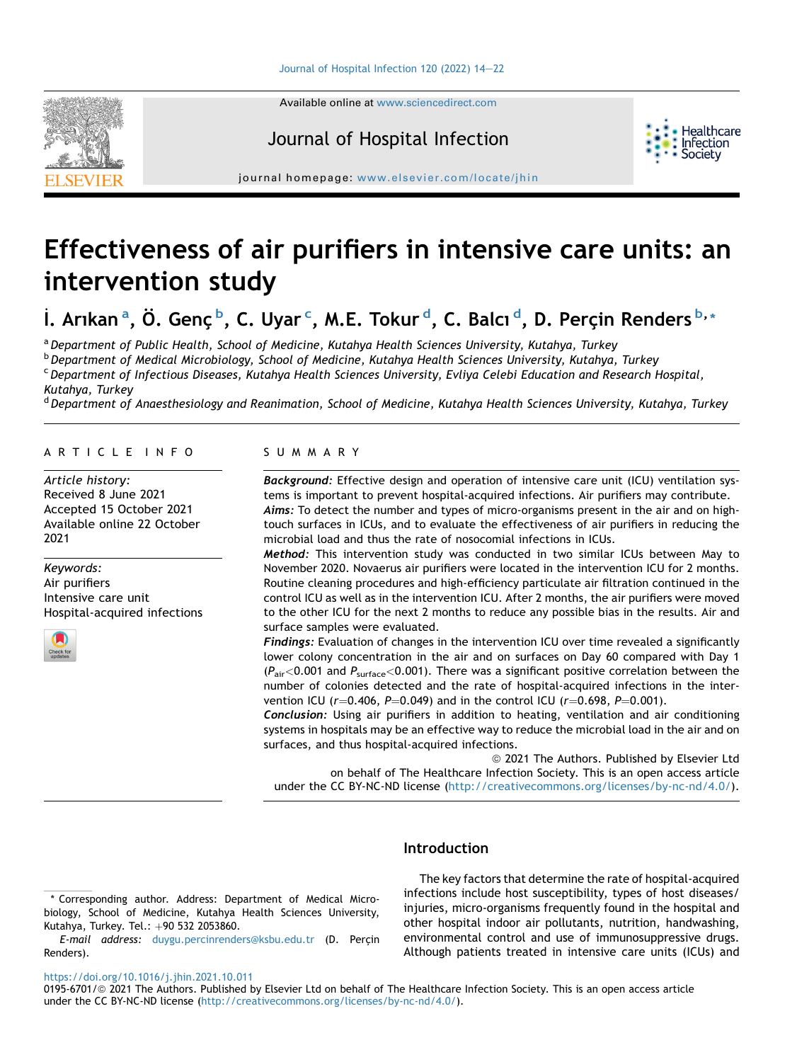Available online at [www.sciencedirect.com](www.sciencedirect.com/science/journal/01956701)



## Journal of Hospital Infection



journal homepage: [www.elsevier.com/locate/jhin](http://www.elsevier.com/locate/jhin)

# Effectiveness of air purifiers in intensive care units: an intervention study

İ. Arık[a](#page-0-0)na, Ö. Genç[b](#page-0-1), C. Uyars, M.E. Tokurd, C. Bal[c](#page-0-2)ı[d](#page-0-3), D. Perçin Renders<sup>[b,](#page-0-1)</sup>[\\*](#page-0-4)

<span id="page-0-2"></span><span id="page-0-1"></span><span id="page-0-0"></span>a Department of Public Health, School of Medicine, Kutahya Health Sciences University, Kutahya, Turkey <sup>b</sup> Department of Medical Microbiology, School of Medicine, Kutahya Health Sciences University, Kutahya, Turkey <sup>c</sup> Department of Infectious Diseases, Kutahya Health Sciences University, Evliya Celebi Education and Research Hospital, Kutahya, Turkey

<span id="page-0-3"></span><sup>d</sup> Department of Anaesthesiology and Reanimation, School of Medicine, Kutahya Health Sciences University, Kutahya, Turkey

#### ARTICLE INFO

Article history: Received 8 June 2021 Accepted 15 October 2021 Available online 22 October 2021

#### Keywords: Air purifiers Intensive care unit Hospital-acquired infections



#### SUMMARY

Background: Effective design and operation of intensive care unit (ICU) ventilation systems is important to prevent hospital-acquired infections. Air purifiers may contribute. Aims: To detect the number and types of micro-organisms present in the air and on hightouch surfaces in ICUs, and to evaluate the effectiveness of air purifiers in reducing the microbial load and thus the rate of nosocomial infections in ICUs.

Method: This intervention study was conducted in two similar ICUs between May to November 2020. Novaerus air purifiers were located in the intervention ICU for 2 months. Routine cleaning procedures and high-efficiency particulate air filtration continued in the control ICU as well as in the intervention ICU. After 2 months, the air purifiers were moved to the other ICU for the next 2 months to reduce any possible bias in the results. Air and surface samples were evaluated.

Findings: Evaluation of changes in the intervention ICU over time revealed a significantly lower colony concentration in the air and on surfaces on Day 60 compared with Day 1  $(P_{\text{air}}<0.001$  and  $P_{\text{surface}}<0.001$ ). There was a significant positive correlation between the number of colonies detected and the rate of hospital-acquired infections in the intervention ICU ( $r=0.406$ ,  $P=0.049$ ) and in the control ICU ( $r=0.698$ ,  $P=0.001$ ).

Conclusion: Using air purifiers in addition to heating, ventilation and air conditioning systems in hospitals may be an effective way to reduce the microbial load in the air and on surfaces, and thus hospital-acquired infections.

<sup>©</sup> 2021 The Authors. Published by Elsevier Ltd on behalf of The Healthcare Infection Society. This is an open access article under the CC BY-NC-ND license [\(http://creativecommons.org/licenses/by-nc-nd/4.0/](http://creativecommons.org/licenses/by-nc-nd/4.0/)).

### Introduction

The key factors that determine the rate of hospital-acquired infections include host susceptibility, types of host diseases/ injuries, micro-organisms frequently found in the hospital and other hospital indoor air pollutants, nutrition, handwashing, environmental control and use of immunosuppressive drugs. Although patients treated in intensive care units (ICUs) and

<https://doi.org/10.1016/j.jhin.2021.10.011>

<span id="page-0-4"></span><sup>\*</sup> Corresponding author. Address: Department of Medical Microbiology, School of Medicine, Kutahya Health Sciences University, Kutahya, Turkey. Tel.:  $+90$  532 2053860.

E-mail address: [duygu.percinrenders@ksbu.edu.tr](mailto:duygu.percinrenders@ksbu.edu.tr) (D. Perçin Renders).

<sup>0195-6701/@ 2021</sup> The Authors. Published by Elsevier Ltd on behalf of The Healthcare Infection Society. This is an open access article under the CC BY-NC-ND license [\(http://creativecommons.org/licenses/by-nc-nd/4.0/](http://creativecommons.org/licenses/by-nc-nd/4.0/)).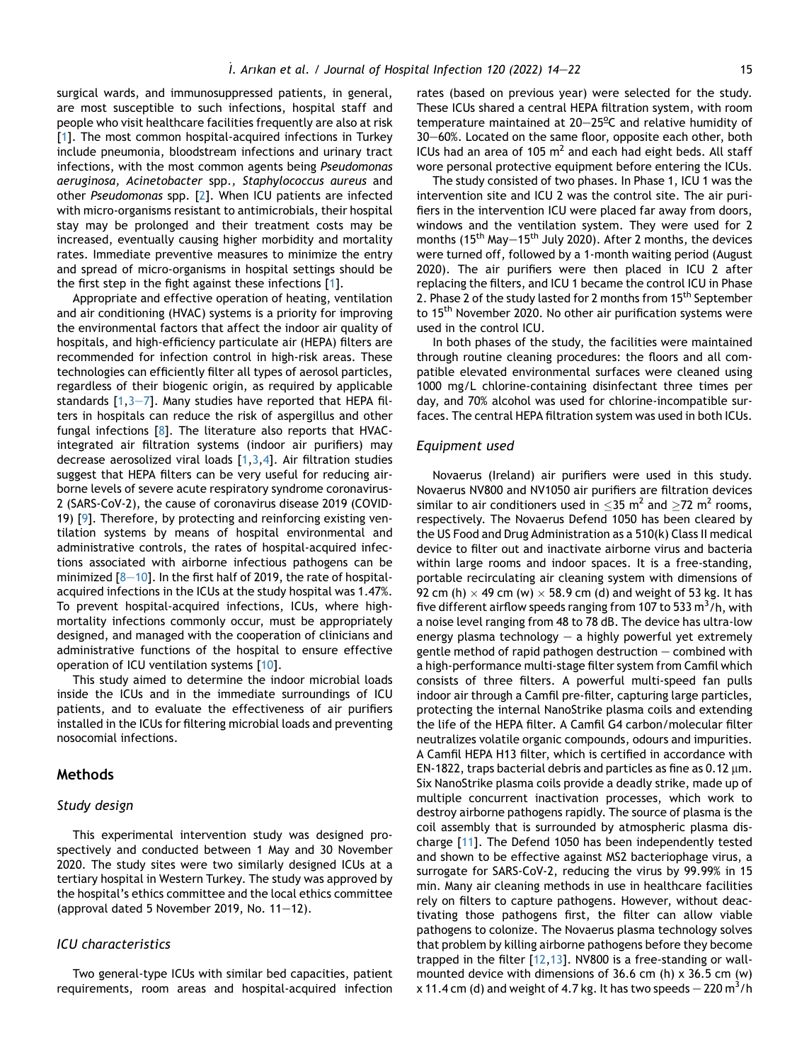surgical wards, and immunosuppressed patients, in general, are most susceptible to such infections, hospital staff and people who visit healthcare facilities frequently are also at risk [[1](#page-7-0)]. The most common hospital-acquired infections in Turkey include pneumonia, bloodstream infections and urinary tract infections, with the most common agents being Pseudomonas aeruginosa, Acinetobacter spp., Staphylococcus aureus and other Pseudomonas spp. [[2\]](#page-7-1). When ICU patients are infected with micro-organisms resistant to antimicrobials, their hospital stay may be prolonged and their treatment costs may be increased, eventually causing higher morbidity and mortality rates. Immediate preventive measures to minimize the entry and spread of micro-organisms in hospital settings should be the first step in the fight against these infections [\[1\]](#page-7-0).

Appropriate and effective operation of heating, ventilation and air conditioning (HVAC) systems is a priority for improving the environmental factors that affect the indoor air quality of hospitals, and high-efficiency particulate air (HEPA) filters are recommended for infection control in high-risk areas. These technologies can efficiently filter all types of aerosol particles, regardless of their biogenic origin, as required by applicable standards  $[1,3-7]$  $[1,3-7]$  $[1,3-7]$  $[1,3-7]$  $[1,3-7]$ . Many studies have reported that HEPA filters in hospitals can reduce the risk of aspergillus and other fungal infections [[8](#page-8-0)]. The literature also reports that HVACintegrated air filtration systems (indoor air purifiers) may decrease aerosolized viral loads  $[1,3,4]$  $[1,3,4]$  $[1,3,4]$  $[1,3,4]$  $[1,3,4]$  $[1,3,4]$  $[1,3,4]$ . Air filtration studies suggest that HEPA filters can be very useful for reducing airborne levels of severe acute respiratory syndrome coronavirus-2 (SARS-CoV-2), the cause of coronavirus disease 2019 (COVID-19) [\[9\]](#page-8-1). Therefore, by protecting and reinforcing existing ventilation systems by means of hospital environmental and administrative controls, the rates of hospital-acquired infections associated with airborne infectious pathogens can be minimized  $[8-10]$  $[8-10]$  $[8-10]$  $[8-10]$  $[8-10]$ . In the first half of 2019, the rate of hospitalacquired infections in the ICUs at the study hospital was 1.47%. To prevent hospital-acquired infections, ICUs, where highmortality infections commonly occur, must be appropriately designed, and managed with the cooperation of clinicians and administrative functions of the hospital to ensure effective operation of ICU ventilation systems [\[10](#page-8-2)].

This study aimed to determine the indoor microbial loads inside the ICUs and in the immediate surroundings of ICU patients, and to evaluate the effectiveness of air purifiers installed in the ICUs for filtering microbial loads and preventing nosocomial infections.

#### Methods

#### Study design

This experimental intervention study was designed prospectively and conducted between 1 May and 30 November 2020. The study sites were two similarly designed ICUs at a tertiary hospital in Western Turkey. The study was approved by the hospital's ethics committee and the local ethics committee (approval dated 5 November 2019, No.  $11-12$ ).

#### ICU characteristics

Two general-type ICUs with similar bed capacities, patient requirements, room areas and hospital-acquired infection rates (based on previous year) were selected for the study. These ICUs shared a central HEPA filtration system, with room temperature maintained at 20-25<sup>o</sup>C and relative humidity of 30–60%. Located on the same floor, opposite each other, both ICUs had an area of 105  $m<sup>2</sup>$  and each had eight beds. All staff wore personal protective equipment before entering the ICUs.

The study consisted of two phases. In Phase 1, ICU 1 was the intervention site and ICU 2 was the control site. The air purifiers in the intervention ICU were placed far away from doors, windows and the ventilation system. They were used for 2 months (15<sup>th</sup> May-15<sup>th</sup> July 2020). After 2 months, the devices were turned off, followed by a 1-month waiting period (August 2020). The air purifiers were then placed in ICU 2 after replacing the filters, and ICU 1 became the control ICU in Phase 2. Phase 2 of the study lasted for 2 months from 15<sup>th</sup> September to 15<sup>th</sup> November 2020. No other air purification systems were used in the control ICU.

In both phases of the study, the facilities were maintained through routine cleaning procedures: the floors and all compatible elevated environmental surfaces were cleaned using 1000 mg/L chlorine-containing disinfectant three times per day, and 70% alcohol was used for chlorine-incompatible surfaces. The central HEPA filtration system was used in both ICUs.

#### Equipment used

Novaerus (Ireland) air purifiers were used in this study. Novaerus NV800 and NV1050 air purifiers are filtration devices similar to air conditioners used in  $\leq$ 35 m<sup>2</sup> and  $\geq$ 72 m<sup>2</sup> rooms, respectively. The Novaerus Defend 1050 has been cleared by the US Food and Drug Administration as a 510(k) Class II medical device to filter out and inactivate airborne virus and bacteria within large rooms and indoor spaces. It is a free-standing, portable recirculating air cleaning system with dimensions of 92 cm (h)  $\times$  49 cm (w)  $\times$  58.9 cm (d) and weight of 53 kg. It has five different airflow speeds ranging from 107 to 533 m<sup>3</sup>/h, with a noise level ranging from 48 to 78 dB. The device has ultra-low energy plasma technology  $-$  a highly powerful yet extremely gentle method of rapid pathogen destruction  $-$  combined with a high-performance multi-stage filter system from Camfil which consists of three filters. A powerful multi-speed fan pulls indoor air through a Camfil pre-filter, capturing large particles, protecting the internal NanoStrike plasma coils and extending the life of the HEPA filter. A Camfil G4 carbon/molecular filter neutralizes volatile organic compounds, odours and impurities. A Camfil HEPA H13 filter, which is certified in accordance with EN-1822, traps bacterial debris and particles as fine as  $0.12 \,\mu m$ . Six NanoStrike plasma coils provide a deadly strike, made up of multiple concurrent inactivation processes, which work to destroy airborne pathogens rapidly. The source of plasma is the coil assembly that is surrounded by atmospheric plasma discharge [\[11](#page-8-3)]. The Defend 1050 has been independently tested and shown to be effective against MS2 bacteriophage virus, a surrogate for SARS-CoV-2, reducing the virus by 99.99% in 15 min. Many air cleaning methods in use in healthcare facilities rely on filters to capture pathogens. However, without deactivating those pathogens first, the filter can allow viable pathogens to colonize. The Novaerus plasma technology solves that problem by killing airborne pathogens before they become trapped in the filter [[12](#page-8-4)[,13\]](#page-8-5). NV800 is a free-standing or wallmounted device with dimensions of 36.6 cm (h) x 36.5 cm (w) x 11.4 cm (d) and weight of 4.7 kg. It has two speeds  $-$  220 m $^3$ /h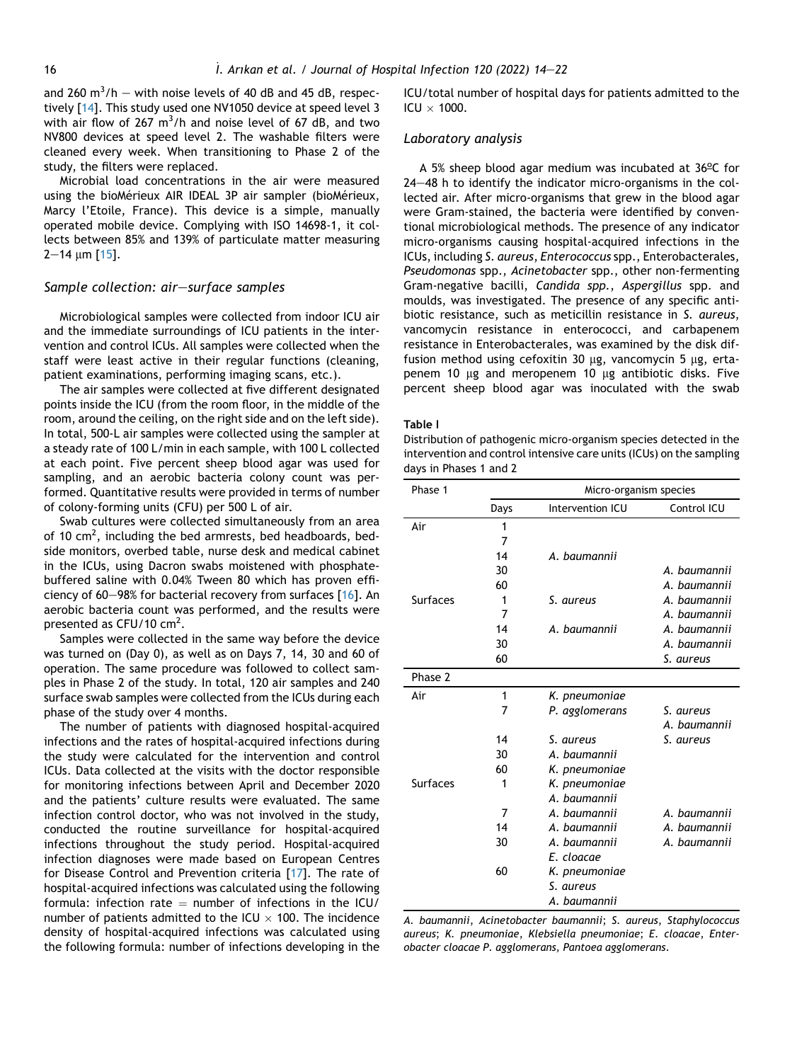and 260  $\text{m}^3/\text{h}$  – with noise levels of 40 dB and 45 dB, respectively [[14](#page-8-6)]. This study used one NV1050 device at speed level 3 with air flow of 267  $\text{m}^3/\text{h}$  and noise level of 67 dB, and two NV800 devices at speed level 2. The washable filters were cleaned every week. When transitioning to Phase 2 of the study, the filters were replaced.

Microbial load concentrations in the air were measured using the bioMérieux AIR IDEAL 3P air sampler (bioMérieux, Marcy l'Etoile, France). This device is a simple, manually operated mobile device. Complying with ISO 14698-1, it collects between 85% and 139% of particulate matter measuring  $2-14$  um [[15](#page-8-7)].

#### Sample collection: air-surface samples

Microbiological samples were collected from indoor ICU air and the immediate surroundings of ICU patients in the intervention and control ICUs. All samples were collected when the staff were least active in their regular functions (cleaning, patient examinations, performing imaging scans, etc.).

The air samples were collected at five different designated points inside the ICU (from the room floor, in the middle of the room, around the ceiling, on the right side and on the left side). In total, 500-L air samples were collected using the sampler at a steady rate of 100 L/min in each sample, with 100 L collected at each point. Five percent sheep blood agar was used for sampling, and an aerobic bacteria colony count was performed. Quantitative results were provided in terms of number of colony-forming units (CFU) per 500 L of air.

Swab cultures were collected simultaneously from an area of 10  $\text{cm}^2$ , including the bed armrests, bed headboards, bedside monitors, overbed table, nurse desk and medical cabinet in the ICUs, using Dacron swabs moistened with phosphatebuffered saline with 0.04% Tween 80 which has proven efficiency of 60-98% for bacterial recovery from surfaces  $[16]$ . An aerobic bacteria count was performed, and the results were presented as CFU/10 cm<sup>2</sup>.

Samples were collected in the same way before the device was turned on (Day 0), as well as on Days 7, 14, 30 and 60 of operation. The same procedure was followed to collect samples in Phase 2 of the study. In total, 120 air samples and 240 surface swab samples were collected from the ICUs during each phase of the study over 4 months.

The number of patients with diagnosed hospital-acquired infections and the rates of hospital-acquired infections during the study were calculated for the intervention and control ICUs. Data collected at the visits with the doctor responsible for monitoring infections between April and December 2020 and the patients' culture results were evaluated. The same infection control doctor, who was not involved in the study, conducted the routine surveillance for hospital-acquired infections throughout the study period. Hospital-acquired infection diagnoses were made based on European Centres for Disease Control and Prevention criteria [\[17](#page-8-9)]. The rate of hospital-acquired infections was calculated using the following formula: infection rate  $=$  number of infections in the ICU/ number of patients admitted to the ICU  $\times$  100. The incidence density of hospital-acquired infections was calculated using the following formula: number of infections developing in the

ICU/total number of hospital days for patients admitted to the ICU  $\times$  1000.

#### Laboratory analysis

A 5% sheep blood agar medium was incubated at  $36^{\circ}$ C for  $24-48$  h to identify the indicator micro-organisms in the collected air. After micro-organisms that grew in the blood agar were Gram-stained, the bacteria were identified by conventional microbiological methods. The presence of any indicator micro-organisms causing hospital-acquired infections in the ICUs, including S. aureus, Enterococcus spp., Enterobacterales, Pseudomonas spp., Acinetobacter spp., other non-fermenting Gram-negative bacilli, Candida spp., Aspergillus spp. and moulds, was investigated. The presence of any specific antibiotic resistance, such as meticillin resistance in S. aureus, vancomycin resistance in enterococci, and carbapenem resistance in Enterobacterales, was examined by the disk diffusion method using cefoxitin 30  $\mu$ g, vancomycin 5  $\mu$ g, ertapenem 10 µg and meropenem 10 µg antibiotic disks. Five percent sheep blood agar was inoculated with the swab

#### <span id="page-2-0"></span>Table I

Distribution of pathogenic micro-organism species detected in the intervention and control intensive care units (ICUs) on the sampling days in Phases 1 and 2

| Phase 1         | Micro-organism species |                  |              |  |
|-----------------|------------------------|------------------|--------------|--|
|                 | Days                   | Intervention ICU | Control ICU  |  |
| Air             | 1                      |                  |              |  |
|                 | 7                      |                  |              |  |
|                 | 14                     | A. baumannii     |              |  |
|                 | 30                     |                  | A. baumannii |  |
|                 | 60                     |                  | A. baumannii |  |
| <b>Surfaces</b> | 1                      | S. aureus        | A. baumannii |  |
|                 | 7                      |                  | A. baumannii |  |
|                 | 14                     | A. baumannii     | A. baumannii |  |
|                 | 30                     |                  | A. baumannii |  |
|                 | 60                     |                  | S. aureus    |  |
| Phase 2         |                        |                  |              |  |
| Air             | 1                      | K. pneumoniae    |              |  |
|                 | 7                      | P. agglomerans   | S. aureus    |  |
|                 |                        |                  | A. baumannii |  |
|                 | 14                     | S. aureus        | S. aureus    |  |
|                 | 30                     | A. baumannii     |              |  |
|                 | 60                     | K. pneumoniae    |              |  |
| <b>Surfaces</b> | 1                      | K. pneumoniae    |              |  |
|                 |                        | A. baumannii     |              |  |
|                 | 7                      | A. baumannii     | A. baumannii |  |
|                 | 14                     | A. baumannii     | A. baumannii |  |
|                 | 30                     | A. baumannii     | A. baumannii |  |
|                 |                        | E. cloacae       |              |  |
|                 | 60                     | K. pneumoniae    |              |  |
|                 |                        | S. aureus        |              |  |
|                 |                        | A. baumannii     |              |  |

A. baumannii, Acinetobacter baumannii; S. aureus, Staphylococcus aureus; K. pneumoniae, Klebsiella pneumoniae; E. cloacae, Enterobacter cloacae P. agglomerans, Pantoea agglomerans.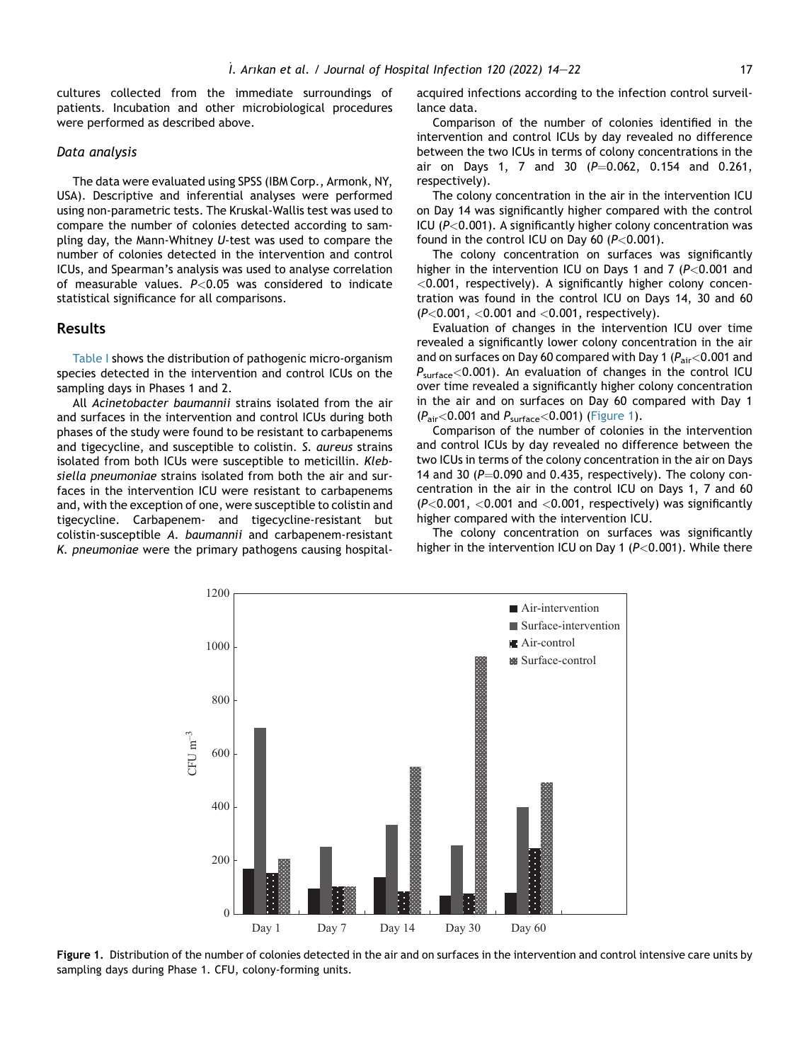cultures collected from the immediate surroundings of patients. Incubation and other microbiological procedures were performed as described above.

#### Data analysis

The data were evaluated using SPSS (IBM Corp., Armonk, NY, USA). Descriptive and inferential analyses were performed using non-parametric tests. The Kruskal-Wallis test was used to compare the number of colonies detected according to sampling day, the Mann-Whitney U-test was used to compare the number of colonies detected in the intervention and control ICUs, and Spearman's analysis was used to analyse correlation of measurable values.  $P < 0.05$  was considered to indicate statistical significance for all comparisons.

#### Results

[Table I](#page-2-0) shows the distribution of pathogenic micro-organism species detected in the intervention and control ICUs on the sampling days in Phases 1 and 2.

All Acinetobacter baumannii strains isolated from the air and surfaces in the intervention and control ICUs during both phases of the study were found to be resistant to carbapenems and tigecycline, and susceptible to colistin. S. aureus strains isolated from both ICUs were susceptible to meticillin. Klebsiella pneumoniae strains isolated from both the air and surfaces in the intervention ICU were resistant to carbapenems and, with the exception of one, were susceptible to colistin and tigecycline. Carbapenem- and tigecycline-resistant but colistin-susceptible A. baumannii and carbapenem-resistant K. pneumoniae were the primary pathogens causing hospitalacquired infections according to the infection control surveillance data.

Comparison of the number of colonies identified in the intervention and control ICUs by day revealed no difference between the two ICUs in terms of colony concentrations in the air on Days 1, 7 and 30  $(P=0.062, 0.154, 0.261, 0.062)$ respectively).

The colony concentration in the air in the intervention ICU on Day 14 was significantly higher compared with the control ICU ( $P < 0.001$ ). A significantly higher colony concentration was found in the control ICU on Day 60 ( $P < 0.001$ ).

The colony concentration on surfaces was significantly higher in the intervention ICU on Days 1 and 7 ( $P < 0.001$  and <0.001, respectively). A significantly higher colony concentration was found in the control ICU on Days 14, 30 and 60 (P<0.001, <0.001 and <0.001, respectively).

Evaluation of changes in the intervention ICU over time revealed a significantly lower colony concentration in the air and on surfaces on Day 60 compared with Day 1 ( $P_{\text{air}}$  < 0.001 and  $P_{\text{surface}}$ <0.001). An evaluation of changes in the control ICU over time revealed a significantly higher colony concentration in the air and on surfaces on Day 60 compared with Day 1  $(P_{\text{air}}<0.001$  and  $P_{\text{surface}}<0.001$ ) ([Figure 1](#page-3-0)).

Comparison of the number of colonies in the intervention and control ICUs by day revealed no difference between the two ICUs in terms of the colony concentration in the air on Days 14 and 30 ( $P=0.090$  and 0.435, respectively). The colony concentration in the air in the control ICU on Days 1, 7 and 60  $(P<0.001, <0.001$  and  $<0.001$ , respectively) was significantly higher compared with the intervention ICU.

The colony concentration on surfaces was significantly higher in the intervention ICU on Day 1 ( $P < 0.001$ ). While there

<span id="page-3-0"></span>

Figure 1. Distribution of the number of colonies detected in the air and on surfaces in the intervention and control intensive care units by sampling days during Phase 1. CFU, colony-forming units.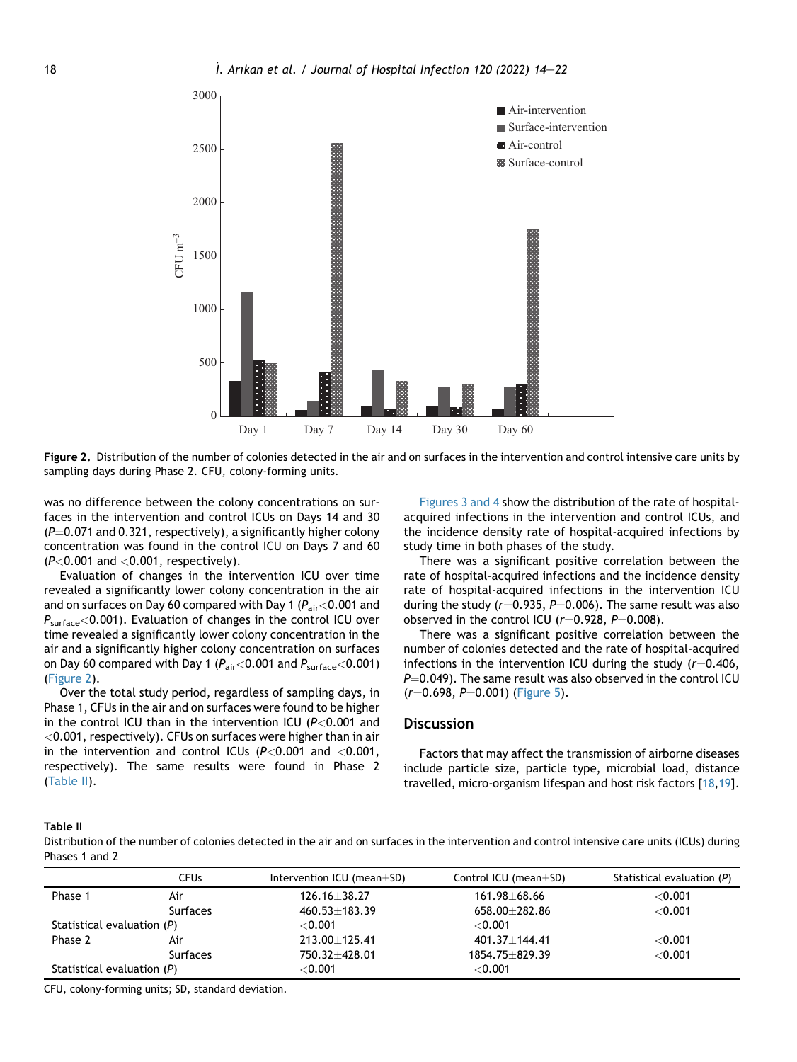<span id="page-4-0"></span>

Figure 2. Distribution of the number of colonies detected in the air and on surfaces in the intervention and control intensive care units by sampling days during Phase 2. CFU, colony-forming units.

was no difference between the colony concentrations on surfaces in the intervention and control ICUs on Days 14 and 30  $(P=0.071$  and 0.321, respectively), a significantly higher colony concentration was found in the control ICU on Days 7 and 60  $(P<0.001$  and  $<0.001$ , respectively).

Evaluation of changes in the intervention ICU over time revealed a significantly lower colony concentration in the air and on surfaces on Day 60 compared with Day 1 ( $P_{\text{air}}$  < 0.001 and  $P_{\text{surface}}$ <0.001). Evaluation of changes in the control ICU over time revealed a significantly lower colony concentration in the air and a significantly higher colony concentration on surfaces on Day 60 compared with Day 1 ( $P_{air}$ <0.001 and  $P_{surface}$ <0.001) [\(Figure 2\)](#page-4-0).

Over the total study period, regardless of sampling days, in Phase 1, CFUs in the air and on surfaces were found to be higher in the control ICU than in the intervention ICU ( $P < 0.001$  and <0.001, respectively). CFUs on surfaces were higher than in air in the intervention and control ICUs  $(P<0.001$  and  $<0.001$ , respectively). The same results were found in Phase 2 [\(Table II\)](#page-4-1).

[Figures 3 and 4](#page-5-0) show the distribution of the rate of hospitalacquired infections in the intervention and control ICUs, and the incidence density rate of hospital-acquired infections by study time in both phases of the study.

There was a significant positive correlation between the rate of hospital-acquired infections and the incidence density rate of hospital-acquired infections in the intervention ICU during the study ( $r=0.935$ ,  $P=0.006$ ). The same result was also observed in the control ICU  $(r=0.928, P=0.008)$ .

There was a significant positive correlation between the number of colonies detected and the rate of hospital-acquired infections in the intervention ICU during the study  $(r=0.406,$  $P=0.049$ ). The same result was also observed in the control ICU  $(r=0.698, P=0.001)$  ([Figure 5](#page-6-0)).

#### **Discussion**

Factors that may affect the transmission of airborne diseases include particle size, particle type, microbial load, distance travelled, micro-organism lifespan and host risk factors [\[18](#page-8-10)[,19](#page-8-11)].

#### <span id="page-4-1"></span>Table II

Distribution of the number of colonies detected in the air and on surfaces in the intervention and control intensive care units (ICUs) during Phases 1 and 2

|                              | <b>CFUs</b> | Intervention ICU (mean $\pm$ SD) | Control ICU (mean $\pm$ SD) | Statistical evaluation $(P)$ |
|------------------------------|-------------|----------------------------------|-----------------------------|------------------------------|
| Phase 1                      | Air         | $126.16 + 38.27$                 | 161.98±68.66                | $<$ 0.001                    |
|                              | Surfaces    | $460.53 + 183.39$                | $658.00 + 282.86$           | $<$ 0.001                    |
| Statistical evaluation $(P)$ |             | ${<}0.001$                       | ${<}0.001$                  |                              |
| Phase 2                      | Air         | $213.00 + 125.41$                | $401.37 + 144.41$           | < 0.001                      |
|                              | Surfaces    | $750.32 + 428.01$                | $1854.75 + 829.39$          | < 0.001                      |
| Statistical evaluation $(P)$ |             | ${<}0.001$                       | ${<}0.001$                  |                              |

CFU, colony-forming units; SD, standard deviation.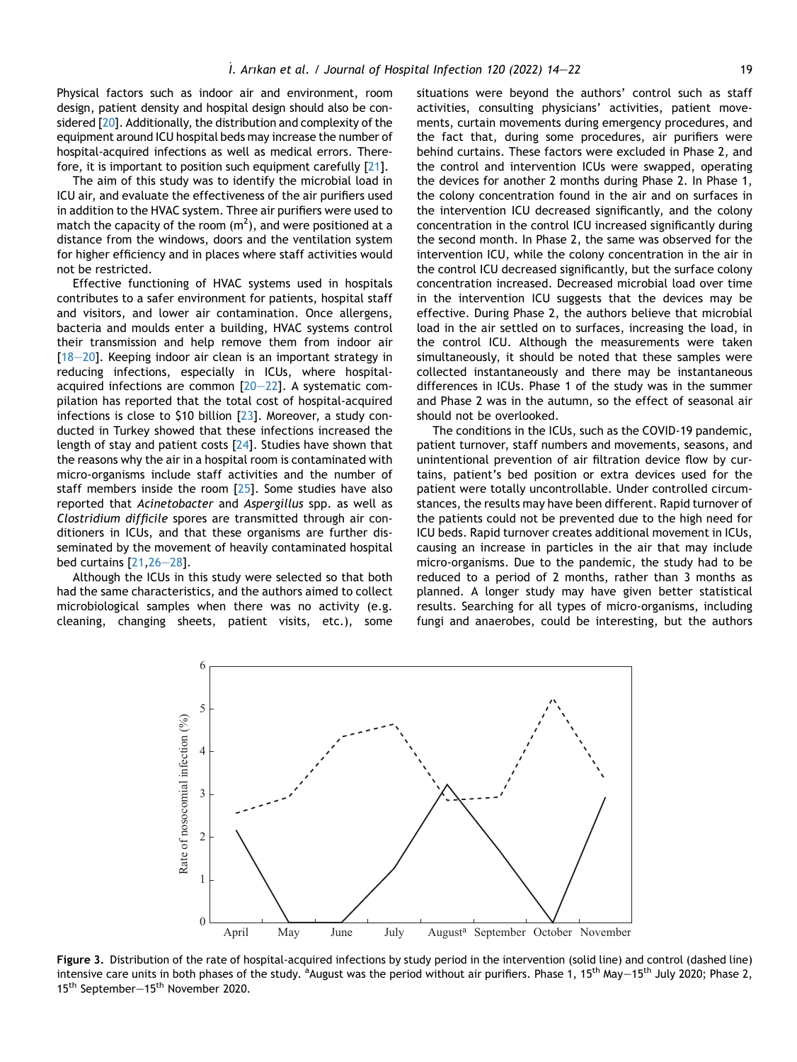Physical factors such as indoor air and environment, room design, patient density and hospital design should also be considered [[20\]](#page-8-12). Additionally, the distribution and complexity of the equipment around ICU hospital beds may increase the number of hospital-acquired infections as well as medical errors. Therefore, it is important to position such equipment carefully [\[21](#page-8-13)].

The aim of this study was to identify the microbial load in ICU air, and evaluate the effectiveness of the air purifiers used in addition to the HVAC system. Three air purifiers were used to match the capacity of the room (m<sup>2</sup>), and were positioned at a distance from the windows, doors and the ventilation system for higher efficiency and in places where staff activities would not be restricted.

Effective functioning of HVAC systems used in hospitals contributes to a safer environment for patients, hospital staff and visitors, and lower air contamination. Once allergens, bacteria and moulds enter a building, HVAC systems control their transmission and help remove them from indoor air  $[18-20]$  $[18-20]$  $[18-20]$  $[18-20]$  $[18-20]$ . Keeping indoor air clean is an important strategy in reducing infections, especially in ICUs, where hospitalacquired infections are common  $[20-22]$  $[20-22]$  $[20-22]$ . A systematic compilation has reported that the total cost of hospital-acquired infections is close to \$10 billion  $[23]$ . Moreover, a study conducted in Turkey showed that these infections increased the length of stay and patient costs [[24](#page-8-15)]. Studies have shown that the reasons why the air in a hospital room is contaminated with micro-organisms include staff activities and the number of staff members inside the room [[25](#page-8-16)]. Some studies have also reported that Acinetobacter and Aspergillus spp. as well as Clostridium difficile spores are transmitted through air conditioners in ICUs, and that these organisms are further disseminated by the movement of heavily contaminated hospital bed curtains  $[21, 26-28]$  $[21, 26-28]$  $[21, 26-28]$  $[21, 26-28]$  $[21, 26-28]$  $[21, 26-28]$ .

<span id="page-5-0"></span>Although the ICUs in this study were selected so that both had the same characteristics, and the authors aimed to collect microbiological samples when there was no activity (e.g. cleaning, changing sheets, patient visits, etc.), some situations were beyond the authors' control such as staff activities, consulting physicians' activities, patient movements, curtain movements during emergency procedures, and the fact that, during some procedures, air purifiers were behind curtains. These factors were excluded in Phase 2, and the control and intervention ICUs were swapped, operating the devices for another 2 months during Phase 2. In Phase 1, the colony concentration found in the air and on surfaces in the intervention ICU decreased significantly, and the colony concentration in the control ICU increased significantly during the second month. In Phase 2, the same was observed for the intervention ICU, while the colony concentration in the air in the control ICU decreased significantly, but the surface colony concentration increased. Decreased microbial load over time in the intervention ICU suggests that the devices may be effective. During Phase 2, the authors believe that microbial load in the air settled on to surfaces, increasing the load, in the control ICU. Although the measurements were taken simultaneously, it should be noted that these samples were collected instantaneously and there may be instantaneous differences in ICUs. Phase 1 of the study was in the summer and Phase 2 was in the autumn, so the effect of seasonal air should not be overlooked.

The conditions in the ICUs, such as the COVID-19 pandemic, patient turnover, staff numbers and movements, seasons, and unintentional prevention of air filtration device flow by curtains, patient's bed position or extra devices used for the patient were totally uncontrollable. Under controlled circumstances, the results may have been different. Rapid turnover of the patients could not be prevented due to the high need for ICU beds. Rapid turnover creates additional movement in ICUs, causing an increase in particles in the air that may include micro-organisms. Due to the pandemic, the study had to be reduced to a period of 2 months, rather than 3 months as planned. A longer study may have given better statistical results. Searching for all types of micro-organisms, including fungi and anaerobes, could be interesting, but the authors



Figure 3. Distribution of the rate of hospital-acquired infections by study period in the intervention (solid line) and control (dashed line) intensive care units in both phases of the study. <sup>a</sup>August was the period without air purifiers. Phase 1, 15<sup>th</sup> May $-$ 15<sup>th</sup> July 2020; Phase 2, 15<sup>th</sup> September-15<sup>th</sup> November 2020.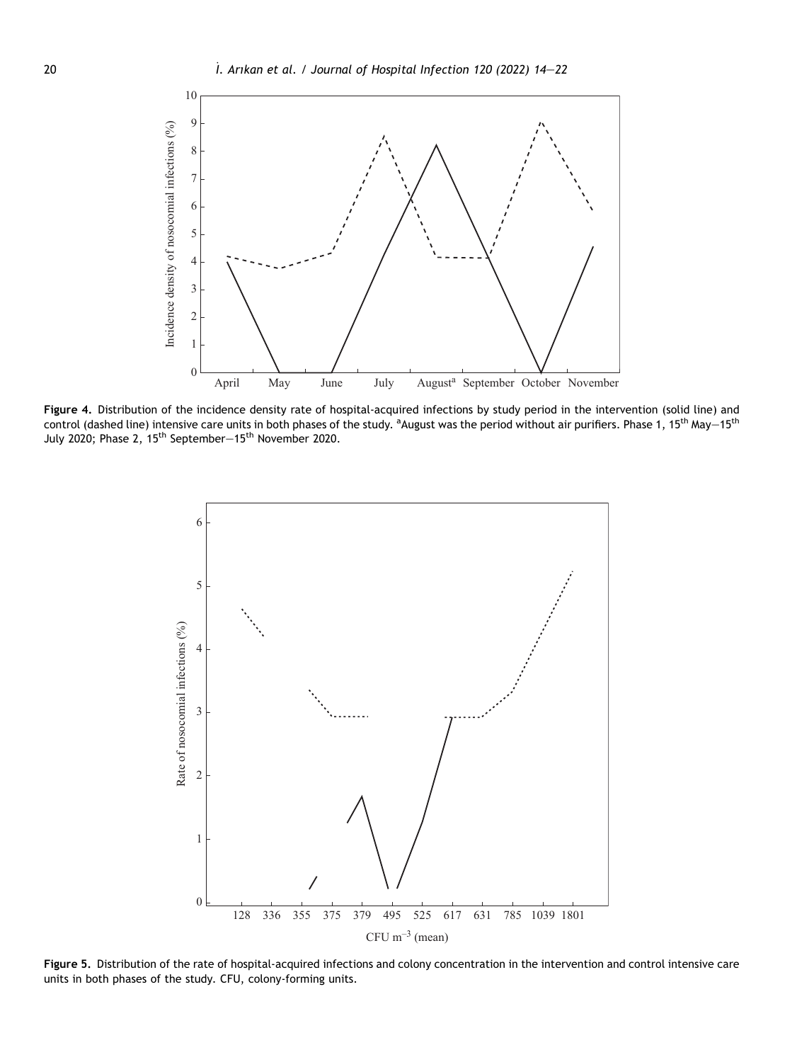

<span id="page-6-0"></span>Figure 4. Distribution of the incidence density rate of hospital-acquired infections by study period in the intervention (solid line) and control (dashed line) intensive care units in both phases of the study. <sup>a</sup>August was the period without air purifiers. Phase 1, 15<sup>th</sup> May $-15^{\rm th}$ July 2020; Phase 2, 15<sup>th</sup> September $-15^{\text{th}}$  November 2020.



Figure 5. Distribution of the rate of hospital-acquired infections and colony concentration in the intervention and control intensive care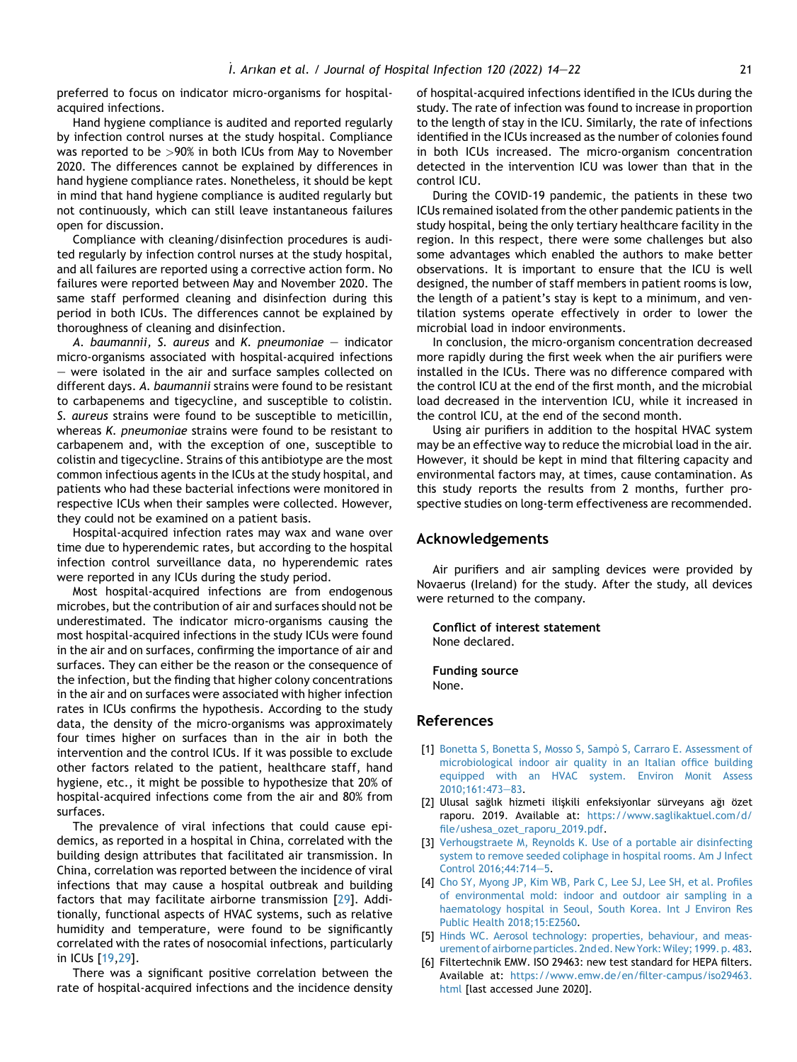preferred to focus on indicator micro-organisms for hospitalacquired infections.

Hand hygiene compliance is audited and reported regularly by infection control nurses at the study hospital. Compliance was reported to be >90% in both ICUs from May to November 2020. The differences cannot be explained by differences in hand hygiene compliance rates. Nonetheless, it should be kept in mind that hand hygiene compliance is audited regularly but not continuously, which can still leave instantaneous failures open for discussion.

Compliance with cleaning/disinfection procedures is audited regularly by infection control nurses at the study hospital, and all failures are reported using a corrective action form. No failures were reported between May and November 2020. The same staff performed cleaning and disinfection during this period in both ICUs. The differences cannot be explained by thoroughness of cleaning and disinfection.

A. baumannii, S. aureus and K. pneumoniae  $-$  indicator micro-organisms associated with hospital-acquired infections  $-$  were isolated in the air and surface samples collected on different days. A. baumannii strains were found to be resistant to carbapenems and tigecycline, and susceptible to colistin. S. aureus strains were found to be susceptible to meticillin, whereas K. pneumoniae strains were found to be resistant to carbapenem and, with the exception of one, susceptible to colistin and tigecycline. Strains of this antibiotype are the most common infectious agents in the ICUs at the study hospital, and patients who had these bacterial infections were monitored in respective ICUs when their samples were collected. However, they could not be examined on a patient basis.

Hospital-acquired infection rates may wax and wane over time due to hyperendemic rates, but according to the hospital infection control surveillance data, no hyperendemic rates were reported in any ICUs during the study period.

Most hospital-acquired infections are from endogenous microbes, but the contribution of air and surfaces should not be underestimated. The indicator micro-organisms causing the most hospital-acquired infections in the study ICUs were found in the air and on surfaces, confirming the importance of air and surfaces. They can either be the reason or the consequence of the infection, but the finding that higher colony concentrations in the air and on surfaces were associated with higher infection rates in ICUs confirms the hypothesis. According to the study data, the density of the micro-organisms was approximately four times higher on surfaces than in the air in both the intervention and the control ICUs. If it was possible to exclude other factors related to the patient, healthcare staff, hand hygiene, etc., it might be possible to hypothesize that 20% of hospital-acquired infections come from the air and 80% from surfaces.

The prevalence of viral infections that could cause epidemics, as reported in a hospital in China, correlated with the building design attributes that facilitated air transmission. In China, correlation was reported between the incidence of viral infections that may cause a hospital outbreak and building factors that may facilitate airborne transmission [[29\]](#page-8-18). Additionally, functional aspects of HVAC systems, such as relative humidity and temperature, were found to be significantly correlated with the rates of nosocomial infections, particularly in ICUs [\[19](#page-8-11),[29\]](#page-8-18).

There was a significant positive correlation between the rate of hospital-acquired infections and the incidence density of hospital-acquired infections identified in the ICUs during the study. The rate of infection was found to increase in proportion to the length of stay in the ICU. Similarly, the rate of infections identified in the ICUs increased as the number of colonies found in both ICUs increased. The micro-organism concentration detected in the intervention ICU was lower than that in the control ICU.

During the COVID-19 pandemic, the patients in these two ICUs remained isolated from the other pandemic patients in the study hospital, being the only tertiary healthcare facility in the region. In this respect, there were some challenges but also some advantages which enabled the authors to make better observations. It is important to ensure that the ICU is well designed, the number of staff members in patient rooms is low, the length of a patient's stay is kept to a minimum, and ventilation systems operate effectively in order to lower the microbial load in indoor environments.

In conclusion, the micro-organism concentration decreased more rapidly during the first week when the air purifiers were installed in the ICUs. There was no difference compared with the control ICU at the end of the first month, and the microbial load decreased in the intervention ICU, while it increased in the control ICU, at the end of the second month.

Using air purifiers in addition to the hospital HVAC system may be an effective way to reduce the microbial load in the air. However, it should be kept in mind that filtering capacity and environmental factors may, at times, cause contamination. As this study reports the results from 2 months, further prospective studies on long-term effectiveness are recommended.

#### Acknowledgements

Air purifiers and air sampling devices were provided by Novaerus (Ireland) for the study. After the study, all devices were returned to the company.

Conflict of interest statement None declared.

Funding source None.

#### References

- <span id="page-7-0"></span>[1] Bonetta S, Bonetta S, Mosso S, Sampò S, Carraro E. Assessment of [microbiological indoor air quality in an Italian office building](http://refhub.elsevier.com/S0195-6701(21)00373-X/sref1) [equipped with an HVAC system. Environ Monit Assess](http://refhub.elsevier.com/S0195-6701(21)00373-X/sref1) [2010;161:473](http://refhub.elsevier.com/S0195-6701(21)00373-X/sref1)-[83](http://refhub.elsevier.com/S0195-6701(21)00373-X/sref1).
- <span id="page-7-1"></span>[2] Ulusal sağlık hizmeti ilişkili enfeksiyonlar sürveyans ağı özet raporu. 2019. Available at: [https://www.saglikaktuel.com/d/](https://www.saglikaktuel.com/d/file/ushesa_ozet_raporu_2019.pdf) [file/ushesa\\_ozet\\_raporu\\_2019.pdf](https://www.saglikaktuel.com/d/file/ushesa_ozet_raporu_2019.pdf).
- <span id="page-7-2"></span>[3] [Verhougstraete M, Reynolds K. Use of a portable air disinfecting](http://refhub.elsevier.com/S0195-6701(21)00373-X/sref3) [system to remove seeded coliphage in hospital rooms. Am J Infect](http://refhub.elsevier.com/S0195-6701(21)00373-X/sref3) [Control 2016;44:714](http://refhub.elsevier.com/S0195-6701(21)00373-X/sref3)-[5.](http://refhub.elsevier.com/S0195-6701(21)00373-X/sref3)
- <span id="page-7-3"></span>[4] [Cho SY, Myong JP, Kim WB, Park C, Lee SJ, Lee SH, et al. Profiles](http://refhub.elsevier.com/S0195-6701(21)00373-X/sref4) [of environmental mold: indoor and outdoor air sampling in a](http://refhub.elsevier.com/S0195-6701(21)00373-X/sref4) [haematology hospital in Seoul, South Korea. Int J Environ Res](http://refhub.elsevier.com/S0195-6701(21)00373-X/sref4) [Public Health 2018;15:E2560](http://refhub.elsevier.com/S0195-6701(21)00373-X/sref4).
- [5] [Hinds WC. Aerosol technology: properties, behaviour, and meas](http://refhub.elsevier.com/S0195-6701(21)00373-X/sref5)[urement of airborne particles. 2nd ed. New York:Wiley; 1999. p. 483.](http://refhub.elsevier.com/S0195-6701(21)00373-X/sref5)
- [6] Filtertechnik EMW. ISO 29463: new test standard for HEPA filters. Available at: [https://www.emw.de/en/filter-campus/iso29463.](https://www.emw.de/en/filter-campus/iso29463.html) [html](https://www.emw.de/en/filter-campus/iso29463.html) [last accessed June 2020].